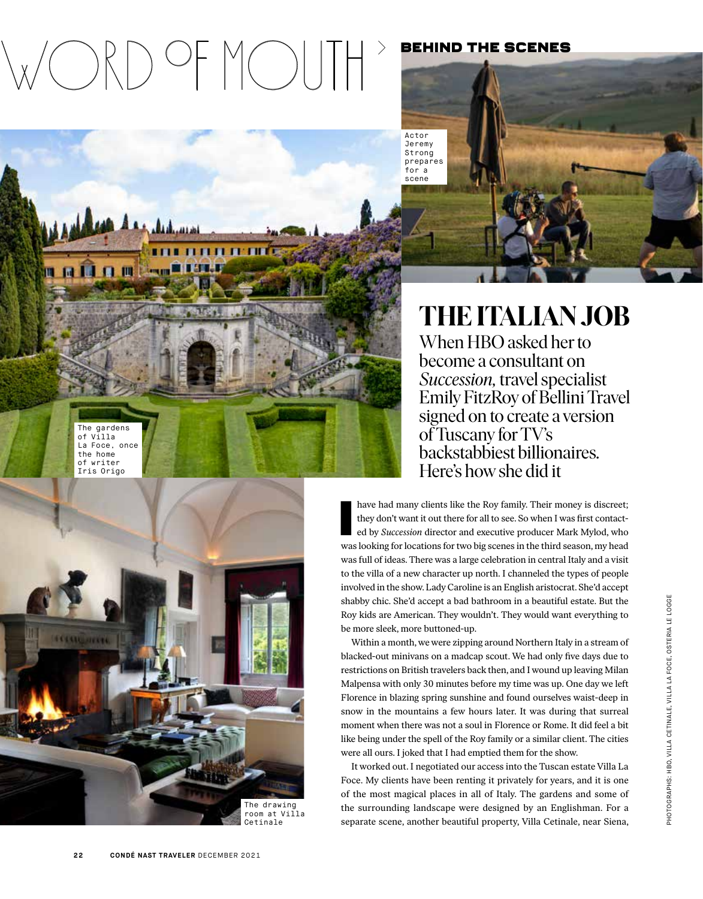# Word ºf moutH›

بمستلبه خم

**FLEE** 

## behind the scenes

Actor Jeremy **Strong** prepares for a

scene

The gardens of Villa La Foce, once the home of writer

n a la n mi



THE ITALIAN JOB

When HBO asked her to become a consultant on *Succession,* travel specialist Emily FitzRoy of Bellini Travel signed on to create a version of Tuscany for TV's backstabbiest billionaires. Here's how she did it

have had many clients like the Roy family. Their money is discreet;<br>they don't want it out there for all to see. So when I was first contacted<br>by *Succession* director and executive producer Mark Mylod, who<br>was looking for have had many clients like the Roy family. Their money is discreet; they don't want it out there for all to see. So when I was first contacted by *Succession* director and executive producer Mark Mylod, who was full of ideas. There was a large celebration in central Italy and a visit to the villa of a new character up north. I channeled the types of people involved in the show. Lady Caroline is an English aristocrat. She'd accept shabby chic. She'd accept a bad bathroom in a beautiful estate. But the Roy kids are American. They wouldn't. They would want everything to be more sleek, more buttoned-up.

Within a month, we were zipping around Northern Italy in a stream of blacked-out minivans on a madcap scout. We had only five days due to restrictions on British travelers back then, and I wound up leaving Milan Malpensa with only 30 minutes before my time was up. One day we left Florence in blazing spring sunshine and found ourselves waist-deep in snow in the mountains a few hours later. It was during that surreal moment when there was not a soul in Florence or Rome. It did feel a bit like being under the spell of the Roy family or a similar client. The cities were all ours. I joked that I had emptied them for the show.

It worked out. I negotiated our access into the Tuscan estate Villa La Foce. My clients have been renting it privately for years, and it is one of the most magical places in all of Italy. The gardens and some of the surrounding landscape were designed by an Englishman. For a separate scene, another beautiful property, Villa Cetinale, near Siena,